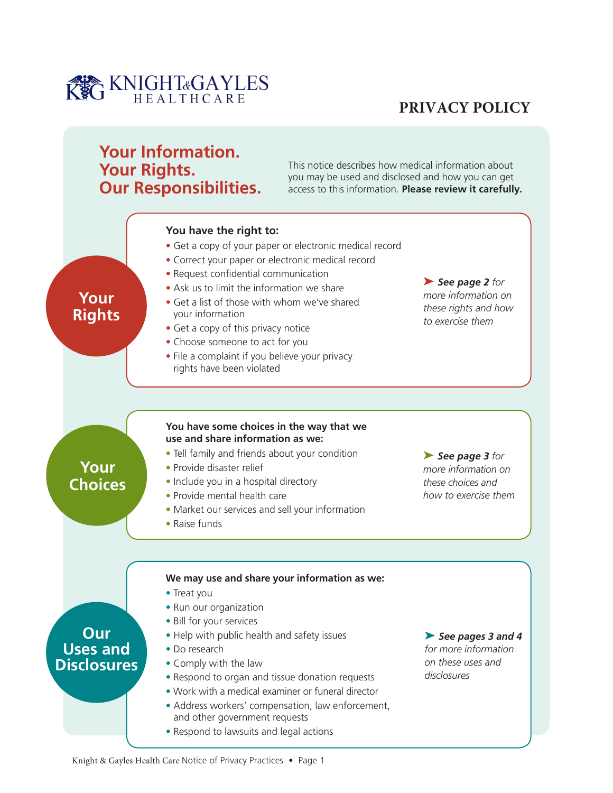

## **PRIVACY POLICY**

# **Your Information. Your Rights. Our Responsibilities.**

This notice describes how medical information about you may be used and disclosed and how you can get access to this information. **Please review it carefully.**

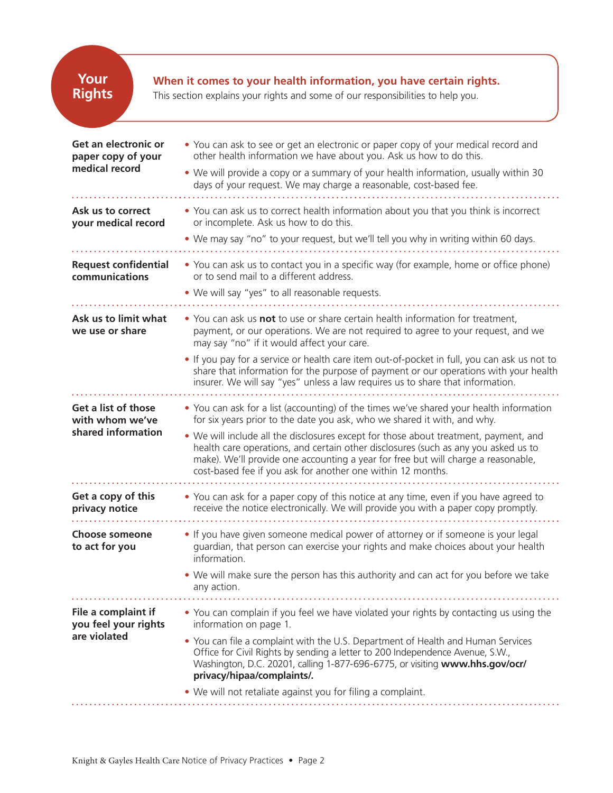| Your<br><b>Rights</b>                                        | When it comes to your health information, you have certain rights.<br>This section explains your rights and some of our responsibilities to help you.                                                                                                                                                                          |
|--------------------------------------------------------------|--------------------------------------------------------------------------------------------------------------------------------------------------------------------------------------------------------------------------------------------------------------------------------------------------------------------------------|
| Get an electronic or<br>paper copy of your<br>medical record | • You can ask to see or get an electronic or paper copy of your medical record and<br>other health information we have about you. Ask us how to do this.                                                                                                                                                                       |
|                                                              | • We will provide a copy or a summary of your health information, usually within 30<br>days of your request. We may charge a reasonable, cost-based fee.                                                                                                                                                                       |
| Ask us to correct<br>your medical record                     | • You can ask us to correct health information about you that you think is incorrect<br>or incomplete. Ask us how to do this.                                                                                                                                                                                                  |
|                                                              | . We may say "no" to your request, but we'll tell you why in writing within 60 days.                                                                                                                                                                                                                                           |
| <b>Request confidential</b><br>communications                | • You can ask us to contact you in a specific way (for example, home or office phone)<br>or to send mail to a different address.                                                                                                                                                                                               |
|                                                              | . We will say "yes" to all reasonable requests.                                                                                                                                                                                                                                                                                |
| Ask us to limit what<br>we use or share                      | • You can ask us <b>not</b> to use or share certain health information for treatment,<br>payment, or our operations. We are not required to agree to your request, and we<br>may say "no" if it would affect your care.                                                                                                        |
|                                                              | . If you pay for a service or health care item out-of-pocket in full, you can ask us not to<br>share that information for the purpose of payment or our operations with your health<br>insurer. We will say "yes" unless a law requires us to share that information.                                                          |
| Get a list of those<br>with whom we've<br>shared information | • You can ask for a list (accounting) of the times we've shared your health information<br>for six years prior to the date you ask, who we shared it with, and why.                                                                                                                                                            |
|                                                              | • We will include all the disclosures except for those about treatment, payment, and<br>health care operations, and certain other disclosures (such as any you asked us to<br>make). We'll provide one accounting a year for free but will charge a reasonable,<br>cost-based fee if you ask for another one within 12 months. |
| Get a copy of this<br>privacy notice                         | • You can ask for a paper copy of this notice at any time, even if you have agreed to<br>receive the notice electronically. We will provide you with a paper copy promptly.                                                                                                                                                    |
| Choose someone<br>to act for you                             | • If you have given someone medical power of attorney or if someone is your legal<br>guardian, that person can exercise your rights and make choices about your health<br>information.                                                                                                                                         |
|                                                              | • We will make sure the person has this authority and can act for you before we take<br>any action.                                                                                                                                                                                                                            |
| File a complaint if<br>you feel your rights<br>are violated  | . You can complain if you feel we have violated your rights by contacting us using the<br>information on page 1.                                                                                                                                                                                                               |
|                                                              | • You can file a complaint with the U.S. Department of Health and Human Services<br>Office for Civil Rights by sending a letter to 200 Independence Avenue, S.W.,<br>Washington, D.C. 20201, calling 1-877-696-6775, or visiting www.hhs.gov/ocr/<br>privacy/hipaa/complaints/.                                                |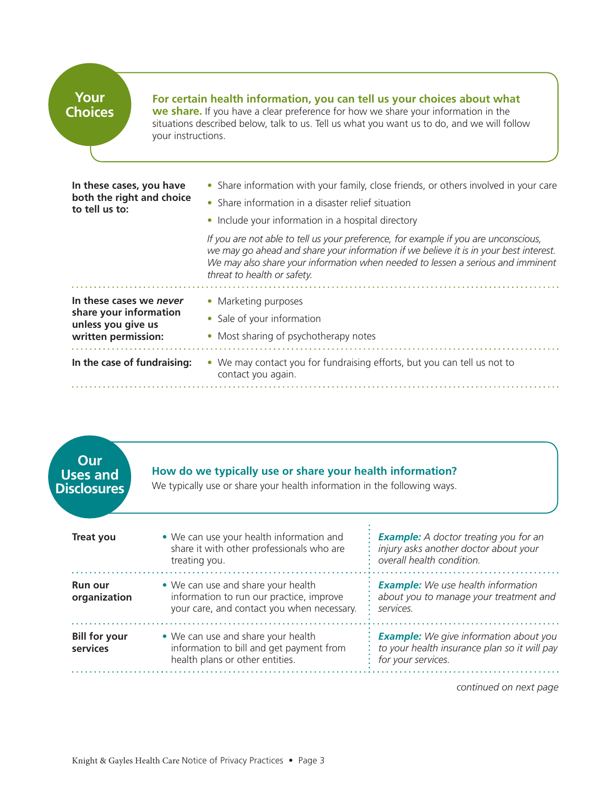## **Your Choices**

#### **For certain health information, you can tell us your choices about what**

**we share.** If you have a clear preference for how we share your information in the situations described below, talk to us. Tell us what you want us to do, and we will follow your instructions.

| In these cases, you have  |
|---------------------------|
| both the right and choice |
| to tell us to:            |

- Share information with your family, close friends, or others involved in your care
- Share information in a disaster relief situation
- Include your information in a hospital directory

*If you are not able to tell us your preference, for example if you are unconscious, we may go ahead and share your information if we believe it is in your best interest. We may also share your information when needed to lessen a serious and imminent threat to health or safety.*

**In these cases we** *never* **share your information unless you give us written permission:** 

#### • Marketing purposes

- Sale of your information
- Most sharing of psychotherapy notes
- 
- **In the case of fundraising:** We may contact you for fundraising efforts, but you can tell us not to contact you again.
- **Treat you** We can use your health information and share it with other professionals who are treating you. *Example: A doctor treating you for an injury asks another doctor about your overall health condition.* **Run our organization** • We can use and share your health information to run our practice, improve your care, and contact you when necessary. *Example: We use health information about you to manage your treatment and services.*  **Bill for your services** • We can use and share your health information to bill and get payment from health plans or other entities. *Example: We give information about you to your health insurance plan so it will pay for your services.* **How do we typically use or share your health information?**  We typically use or share your health information in the following ways. **Our Uses and Disclosures**

*continued on next page*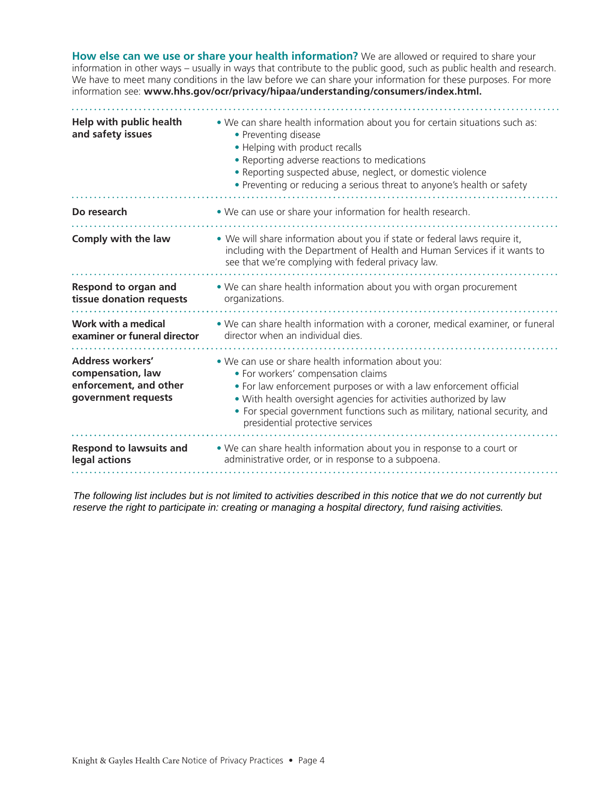**How else can we use or share your health information?** We are allowed or required to share your information in other ways – usually in ways that contribute to the public good, such as public health and research. We have to meet many conditions in the law before we can share your information for these purposes. For more information see: **[www.hhs.gov/ocr/privacy/hipaa/understanding/consumers/index.html.](www.hhs.gov/ocr/privacy/hipaa/understanding/consumers/index.html)**

| Help with public health<br>and safety issues                                                  | . We can share health information about you for certain situations such as:<br>• Preventing disease<br>• Helping with product recalls<br>• Reporting adverse reactions to medications<br>• Reporting suspected abuse, neglect, or domestic violence<br>• Preventing or reducing a serious threat to anyone's health or safety                          |
|-----------------------------------------------------------------------------------------------|--------------------------------------------------------------------------------------------------------------------------------------------------------------------------------------------------------------------------------------------------------------------------------------------------------------------------------------------------------|
| Do research                                                                                   | . We can use or share your information for health research.                                                                                                                                                                                                                                                                                            |
| Comply with the law                                                                           | • We will share information about you if state or federal laws require it,<br>including with the Department of Health and Human Services if it wants to<br>see that we're complying with federal privacy law.                                                                                                                                          |
| Respond to organ and<br>tissue donation requests                                              | . We can share health information about you with organ procurement<br>organizations.                                                                                                                                                                                                                                                                   |
| Work with a medical<br>examiner or funeral director                                           | . We can share health information with a coroner, medical examiner, or funeral<br>director when an individual dies.                                                                                                                                                                                                                                    |
| <b>Address workers'</b><br>compensation, law<br>enforcement, and other<br>government requests | . We can use or share health information about you:<br>• For workers' compensation claims<br>• For law enforcement purposes or with a law enforcement official<br>. With health oversight agencies for activities authorized by law<br>• For special government functions such as military, national security, and<br>presidential protective services |
| <b>Respond to lawsuits and</b><br>legal actions                                               | . We can share health information about you in response to a court or<br>administrative order, or in response to a subpoena.                                                                                                                                                                                                                           |

The following list includes but is not limited to activities described in this notice that we do not currently but reserve the right to participate in: creating or managing a hospital directory, fund raising activities.